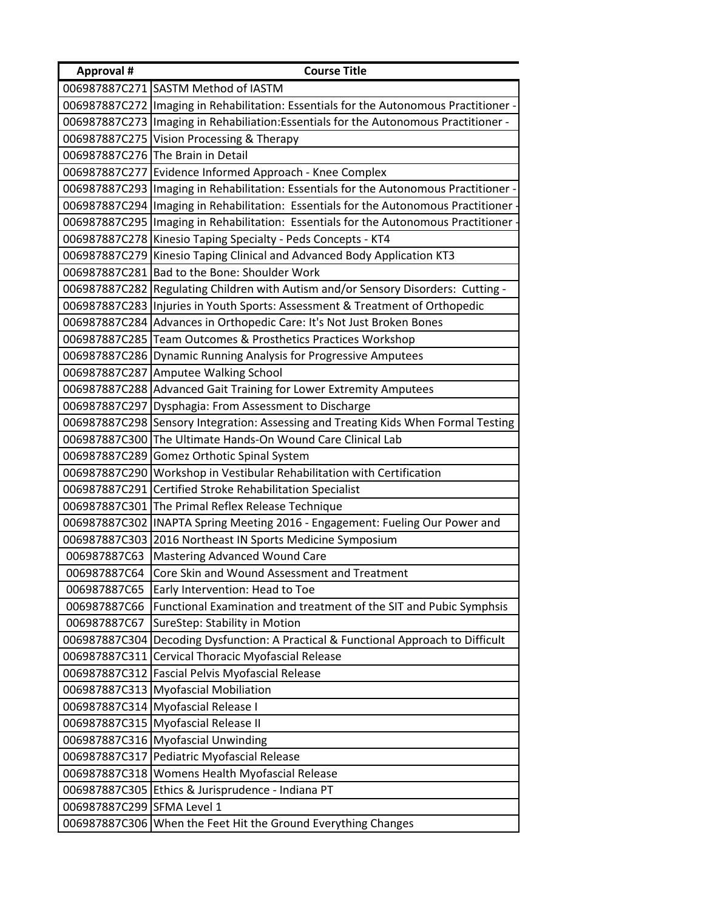| <b>Approval #</b> | <b>Course Title</b>                                                                    |  |
|-------------------|----------------------------------------------------------------------------------------|--|
|                   | 006987887C271 SASTM Method of IASTM                                                    |  |
| 006987887C272     | Imaging in Rehabilitation: Essentials for the Autonomous Practitioner -                |  |
|                   | 006987887C273   Imaging in Rehabiliation: Essentials for the Autonomous Practitioner - |  |
| 006987887C275     | Vision Processing & Therapy                                                            |  |
|                   | 006987887C276 The Brain in Detail                                                      |  |
| 006987887C277     | Evidence Informed Approach - Knee Complex                                              |  |
|                   | 006987887C293 Imaging in Rehabilitation: Essentials for the Autonomous Practitioner -  |  |
|                   | 006987887C294   Imaging in Rehabilitation: Essentials for the Autonomous Practitioner  |  |
| 006987887C295     | Imaging in Rehabilitation: Essentials for the Autonomous Practitioner                  |  |
|                   | 006987887C278   Kinesio Taping Specialty - Peds Concepts - KT4                         |  |
| 006987887C279     | Kinesio Taping Clinical and Advanced Body Application KT3                              |  |
| 006987887C281     | Bad to the Bone: Shoulder Work                                                         |  |
|                   | 006987887C282 Regulating Children with Autism and/or Sensory Disorders: Cutting -      |  |
| 006987887C283     | Injuries in Youth Sports: Assessment & Treatment of Orthopedic                         |  |
|                   | 006987887C284 Advances in Orthopedic Care: It's Not Just Broken Bones                  |  |
| 006987887C285     | Team Outcomes & Prosthetics Practices Workshop                                         |  |
|                   | 006987887C286 Dynamic Running Analysis for Progressive Amputees                        |  |
| 006987887C287     | Amputee Walking School                                                                 |  |
|                   | 006987887C288 Advanced Gait Training for Lower Extremity Amputees                      |  |
| 006987887C297     | Dysphagia: From Assessment to Discharge                                                |  |
| 006987887C298     | Sensory Integration: Assessing and Treating Kids When Formal Testing                   |  |
|                   | 006987887C300 The Ultimate Hands-On Wound Care Clinical Lab                            |  |
| 006987887C289     | Gomez Orthotic Spinal System                                                           |  |
| 006987887C290     | Workshop in Vestibular Rehabilitation with Certification                               |  |
| 006987887C291     | Certified Stroke Rehabilitation Specialist                                             |  |
| 006987887C301     | The Primal Reflex Release Technique                                                    |  |
| 006987887C302     | INAPTA Spring Meeting 2016 - Engagement: Fueling Our Power and                         |  |
| 006987887C303     | 2016 Northeast IN Sports Medicine Symposium                                            |  |
| 006987887C63      | <b>Mastering Advanced Wound Care</b>                                                   |  |
| 006987887C64      | Core Skin and Wound Assessment and Treatment                                           |  |
| 006987887C65      | Early Intervention: Head to Toe                                                        |  |
| 006987887C66      | Functional Examination and treatment of the SIT and Pubic Symphsis                     |  |
| 006987887C67      | SureStep: Stability in Motion                                                          |  |
| 006987887C304     | Decoding Dysfunction: A Practical & Functional Approach to Difficult                   |  |
| 006987887C311     | Cervical Thoracic Myofascial Release                                                   |  |
| 006987887C312     | <b>Fascial Pelvis Myofascial Release</b>                                               |  |
|                   | 006987887C313 Myofascial Mobiliation                                                   |  |
|                   | 006987887C314 Myofascial Release I                                                     |  |
|                   | 006987887C315 Myofascial Release II                                                    |  |
|                   | 006987887C316 Myofascial Unwinding                                                     |  |
| 006987887C317     | Pediatric Myofascial Release                                                           |  |
| 006987887C318     | Womens Health Myofascial Release                                                       |  |
| 006987887C305     | Ethics & Jurisprudence - Indiana PT                                                    |  |
| 006987887C299     | SFMA Level 1                                                                           |  |
| 006987887C306     | When the Feet Hit the Ground Everything Changes                                        |  |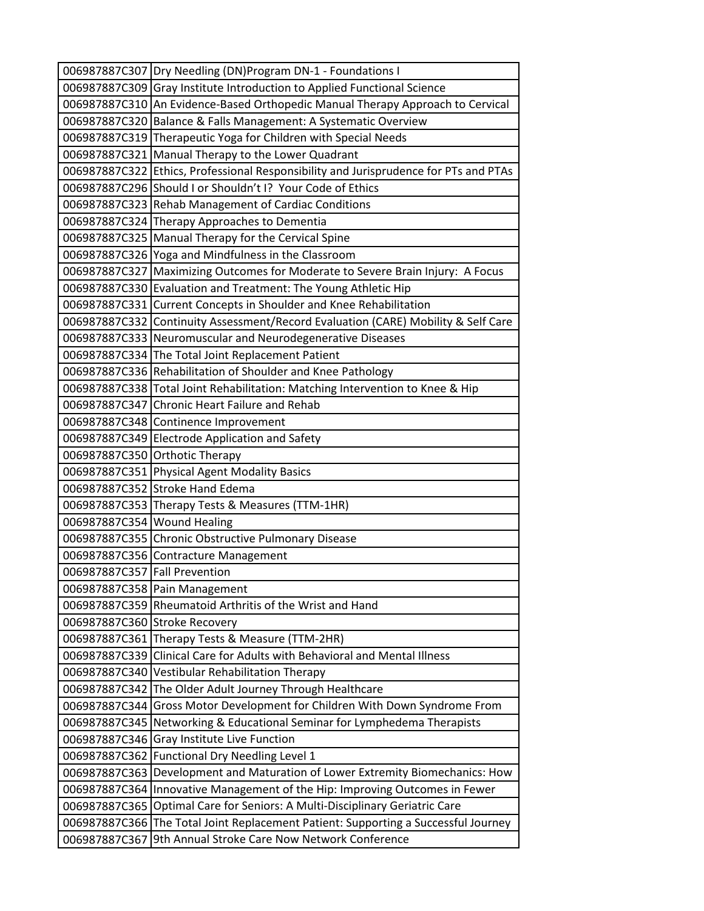|                                | 006987887C307   Dry Needling (DN) Program DN-1 - Foundations I                                                                           |  |  |
|--------------------------------|------------------------------------------------------------------------------------------------------------------------------------------|--|--|
|                                | 006987887C309 Gray Institute Introduction to Applied Functional Science                                                                  |  |  |
|                                | 006987887C310 An Evidence-Based Orthopedic Manual Therapy Approach to Cervical                                                           |  |  |
|                                | 006987887C320 Balance & Falls Management: A Systematic Overview                                                                          |  |  |
|                                | 006987887C319 Therapeutic Yoga for Children with Special Needs                                                                           |  |  |
|                                | 006987887C321 Manual Therapy to the Lower Quadrant                                                                                       |  |  |
|                                | 006987887C322 Ethics, Professional Responsibility and Jurisprudence for PTs and PTAs                                                     |  |  |
|                                | 006987887C296 Should I or Shouldn't I? Your Code of Ethics                                                                               |  |  |
|                                | 006987887C323 Rehab Management of Cardiac Conditions                                                                                     |  |  |
|                                | 006987887C324 Therapy Approaches to Dementia                                                                                             |  |  |
|                                | 006987887C325 Manual Therapy for the Cervical Spine                                                                                      |  |  |
|                                | 006987887C326 Yoga and Mindfulness in the Classroom                                                                                      |  |  |
|                                | 006987887C327 Maximizing Outcomes for Moderate to Severe Brain Injury: A Focus                                                           |  |  |
|                                | 006987887C330 Evaluation and Treatment: The Young Athletic Hip                                                                           |  |  |
|                                | 006987887C331 Current Concepts in Shoulder and Knee Rehabilitation                                                                       |  |  |
|                                | 006987887C332 Continuity Assessment/Record Evaluation (CARE) Mobility & Self Care                                                        |  |  |
|                                | 006987887C333 Neuromuscular and Neurodegenerative Diseases                                                                               |  |  |
|                                | 006987887C334 The Total Joint Replacement Patient                                                                                        |  |  |
|                                | 006987887C336 Rehabilitation of Shoulder and Knee Pathology                                                                              |  |  |
|                                | 006987887C338 Total Joint Rehabilitation: Matching Intervention to Knee & Hip                                                            |  |  |
|                                | 006987887C347 Chronic Heart Failure and Rehab                                                                                            |  |  |
|                                | 006987887C348 Continence Improvement                                                                                                     |  |  |
|                                | 006987887C349 Electrode Application and Safety                                                                                           |  |  |
|                                | 006987887C350 Orthotic Therapy                                                                                                           |  |  |
|                                | 006987887C351 Physical Agent Modality Basics                                                                                             |  |  |
|                                | 006987887C352 Stroke Hand Edema                                                                                                          |  |  |
|                                | 006987887C353 Therapy Tests & Measures (TTM-1HR)                                                                                         |  |  |
| 006987887C354 Wound Healing    |                                                                                                                                          |  |  |
|                                | 006987887C355 Chronic Obstructive Pulmonary Disease                                                                                      |  |  |
|                                | 006987887C356 Contracture Management                                                                                                     |  |  |
| 006987887C357 Fall Prevention  |                                                                                                                                          |  |  |
|                                | 006987887C358 Pain Management                                                                                                            |  |  |
|                                | 006987887C359 Rheumatoid Arthritis of the Wrist and Hand                                                                                 |  |  |
|                                | 006987887C360 Stroke Recovery                                                                                                            |  |  |
| 006987887C339                  | 006987887C361 Therapy Tests & Measure (TTM-2HR)<br>Clinical Care for Adults with Behavioral and Mental Illness                           |  |  |
|                                |                                                                                                                                          |  |  |
| 006987887C340                  | Vestibular Rehabilitation Therapy<br>The Older Adult Journey Through Healthcare                                                          |  |  |
| 006987887C342<br>006987887C344 |                                                                                                                                          |  |  |
|                                | Gross Motor Development for Children With Down Syndrome From<br>006987887C345 Networking & Educational Seminar for Lymphedema Therapists |  |  |
| 006987887C346                  | <b>Gray Institute Live Function</b>                                                                                                      |  |  |
|                                |                                                                                                                                          |  |  |
| 006987887C363                  | 006987887C362 Functional Dry Needling Level 1<br>Development and Maturation of Lower Extremity Biomechanics: How                         |  |  |
| 006987887C364                  | Innovative Management of the Hip: Improving Outcomes in Fewer                                                                            |  |  |
| 006987887C365                  | Optimal Care for Seniors: A Multi-Disciplinary Geriatric Care                                                                            |  |  |
|                                |                                                                                                                                          |  |  |
| 006987887C366                  | The Total Joint Replacement Patient: Supporting a Successful Journey                                                                     |  |  |
| 006987887C367                  | 9th Annual Stroke Care Now Network Conference                                                                                            |  |  |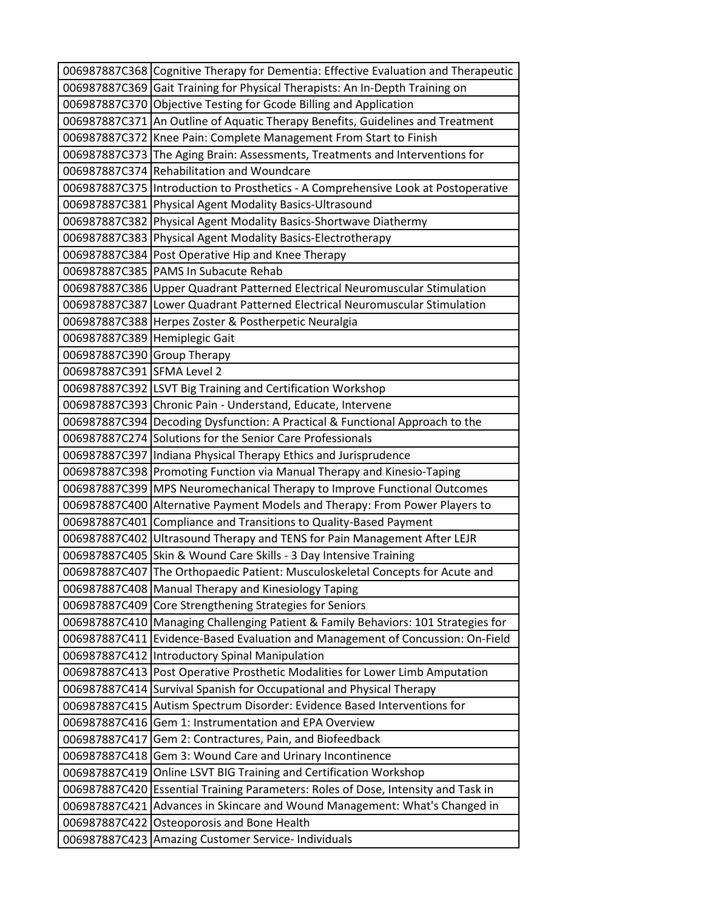|                               | 006987887C368 Cognitive Therapy for Dementia: Effective Evaluation and Therapeutic |  |
|-------------------------------|------------------------------------------------------------------------------------|--|
|                               | 006987887C369 Gait Training for Physical Therapists: An In-Depth Training on       |  |
|                               | 006987887C370 Objective Testing for Gcode Billing and Application                  |  |
|                               | 006987887C371 An Outline of Aquatic Therapy Benefits, Guidelines and Treatment     |  |
|                               | 006987887C372 Knee Pain: Complete Management From Start to Finish                  |  |
|                               | 006987887C373 The Aging Brain: Assessments, Treatments and Interventions for       |  |
|                               | 006987887C374 Rehabilitation and Woundcare                                         |  |
|                               | 006987887C375 Introduction to Prosthetics - A Comprehensive Look at Postoperative  |  |
|                               | 006987887C381 Physical Agent Modality Basics-Ultrasound                            |  |
|                               | 006987887C382 Physical Agent Modality Basics-Shortwave Diathermy                   |  |
|                               | 006987887C383 Physical Agent Modality Basics-Electrotherapy                        |  |
|                               | 006987887C384 Post Operative Hip and Knee Therapy                                  |  |
|                               | 006987887C385   PAMS In Subacute Rehab                                             |  |
|                               | 006987887C386 Upper Quadrant Patterned Electrical Neuromuscular Stimulation        |  |
|                               | 006987887C387 Lower Quadrant Patterned Electrical Neuromuscular Stimulation        |  |
|                               | 006987887C388 Herpes Zoster & Postherpetic Neuralgia                               |  |
| 006987887C389 Hemiplegic Gait |                                                                                    |  |
| 006987887C390 Group Therapy   |                                                                                    |  |
| 006987887C391 SFMA Level 2    |                                                                                    |  |
|                               | 006987887C392 LSVT Big Training and Certification Workshop                         |  |
|                               | 006987887C393 Chronic Pain - Understand, Educate, Intervene                        |  |
|                               | 006987887C394 Decoding Dysfunction: A Practical & Functional Approach to the       |  |
|                               | 006987887C274 Solutions for the Senior Care Professionals                          |  |
|                               | 006987887C397 Indiana Physical Therapy Ethics and Jurisprudence                    |  |
|                               | 006987887C398 Promoting Function via Manual Therapy and Kinesio-Taping             |  |
|                               | 006987887C399 MPS Neuromechanical Therapy to Improve Functional Outcomes           |  |
|                               | 006987887C400 Alternative Payment Models and Therapy: From Power Players to        |  |
|                               | 006987887C401 Compliance and Transitions to Quality-Based Payment                  |  |
|                               | 006987887C402 Ultrasound Therapy and TENS for Pain Management After LEJR           |  |
|                               | 006987887C405 Skin & Wound Care Skills - 3 Day Intensive Training                  |  |
|                               | 006987887C407 The Orthopaedic Patient: Musculoskeletal Concepts for Acute and      |  |
|                               | 006987887C408 Manual Therapy and Kinesiology Taping                                |  |
|                               | 006987887C409 Core Strengthening Strategies for Seniors                            |  |
|                               | 006987887C410 Managing Challenging Patient & Family Behaviors: 101 Strategies for  |  |
|                               | 006987887C411 Evidence-Based Evaluation and Management of Concussion: On-Field     |  |
|                               | 006987887C412   Introductory Spinal Manipulation                                   |  |
|                               | 006987887C413 Post Operative Prosthetic Modalities for Lower Limb Amputation       |  |
|                               | 006987887C414 Survival Spanish for Occupational and Physical Therapy               |  |
|                               | 006987887C415 Autism Spectrum Disorder: Evidence Based Interventions for           |  |
| 006987887C416                 | Gem 1: Instrumentation and EPA Overview                                            |  |
| 006987887C417                 | Gem 2: Contractures, Pain, and Biofeedback                                         |  |
| 006987887C418                 | Gem 3: Wound Care and Urinary Incontinence                                         |  |
| 006987887C419                 | Online LSVT BIG Training and Certification Workshop                                |  |
|                               | 006987887C420 Essential Training Parameters: Roles of Dose, Intensity and Task in  |  |
|                               | 006987887C421 Advances in Skincare and Wound Management: What's Changed in         |  |
| 006987887C422                 | <b>Osteoporosis and Bone Health</b>                                                |  |
|                               | 006987887C423 Amazing Customer Service- Individuals                                |  |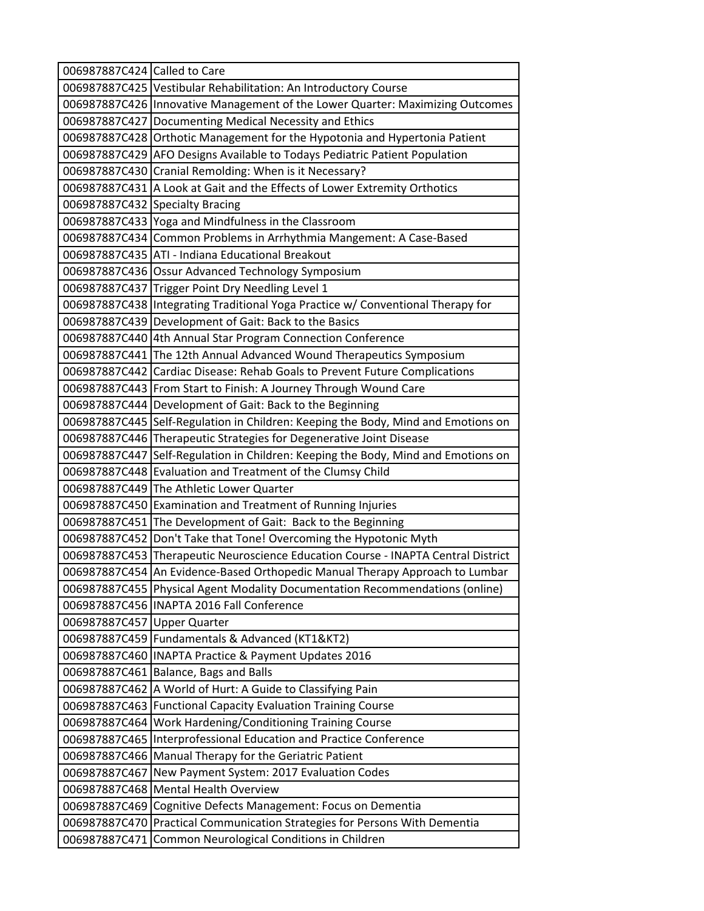| 006987887C424 Called to Care |                                                                                   |  |
|------------------------------|-----------------------------------------------------------------------------------|--|
|                              | 006987887C425 Vestibular Rehabilitation: An Introductory Course                   |  |
|                              | 006987887C426 Innovative Management of the Lower Quarter: Maximizing Outcomes     |  |
|                              | 006987887C427 Documenting Medical Necessity and Ethics                            |  |
|                              | 006987887C428 Orthotic Management for the Hypotonia and Hypertonia Patient        |  |
|                              | 006987887C429 AFO Designs Available to Todays Pediatric Patient Population        |  |
|                              | 006987887C430 Cranial Remolding: When is it Necessary?                            |  |
|                              | 006987887C431 A Look at Gait and the Effects of Lower Extremity Orthotics         |  |
|                              | 006987887C432 Specialty Bracing                                                   |  |
|                              | 006987887C433 Yoga and Mindfulness in the Classroom                               |  |
|                              | 006987887C434 Common Problems in Arrhythmia Mangement: A Case-Based               |  |
|                              | 006987887C435 ATI - Indiana Educational Breakout                                  |  |
|                              | 006987887C436 Ossur Advanced Technology Symposium                                 |  |
|                              | 006987887C437 Trigger Point Dry Needling Level 1                                  |  |
|                              | 006987887C438 Integrating Traditional Yoga Practice w/ Conventional Therapy for   |  |
|                              | 006987887C439 Development of Gait: Back to the Basics                             |  |
|                              | 006987887C440 4th Annual Star Program Connection Conference                       |  |
|                              | 006987887C441 The 12th Annual Advanced Wound Therapeutics Symposium               |  |
|                              | 006987887C442 Cardiac Disease: Rehab Goals to Prevent Future Complications        |  |
|                              | 006987887C443 From Start to Finish: A Journey Through Wound Care                  |  |
|                              | 006987887C444   Development of Gait: Back to the Beginning                        |  |
|                              | 006987887C445 Self-Regulation in Children: Keeping the Body, Mind and Emotions on |  |
|                              | 006987887C446 Therapeutic Strategies for Degenerative Joint Disease               |  |
|                              | 006987887C447 Self-Regulation in Children: Keeping the Body, Mind and Emotions on |  |
|                              | 006987887C448 Evaluation and Treatment of the Clumsy Child                        |  |
|                              | 006987887C449 The Athletic Lower Quarter                                          |  |
|                              | 006987887C450 Examination and Treatment of Running Injuries                       |  |
|                              | 006987887C451 The Development of Gait: Back to the Beginning                      |  |
|                              | 006987887C452 Don't Take that Tone! Overcoming the Hypotonic Myth                 |  |
|                              | 006987887C453 Therapeutic Neuroscience Education Course - INAPTA Central District |  |
|                              | 006987887C454 An Evidence-Based Orthopedic Manual Therapy Approach to Lumbar      |  |
|                              | 006987887C455 Physical Agent Modality Documentation Recommendations (online)      |  |
|                              | 006987887C456   INAPTA 2016 Fall Conference                                       |  |
| 006987887C457                | <b>Upper Quarter</b>                                                              |  |
|                              | 006987887C459   Fundamentals & Advanced (KT1&KT2)                                 |  |
| 006987887C460                | <b>INAPTA Practice &amp; Payment Updates 2016</b>                                 |  |
| 006987887C461                | Balance, Bags and Balls                                                           |  |
|                              | 006987887C462 A World of Hurt: A Guide to Classifying Pain                        |  |
|                              | 006987887C463   Functional Capacity Evaluation Training Course                    |  |
| 006987887C464                | Work Hardening/Conditioning Training Course                                       |  |
| 006987887C465                | Interprofessional Education and Practice Conference                               |  |
|                              | 006987887C466 Manual Therapy for the Geriatric Patient                            |  |
| 006987887C467                | New Payment System: 2017 Evaluation Codes                                         |  |
| 006987887C468                | <b>Mental Health Overview</b>                                                     |  |
| 006987887C469                | Cognitive Defects Management: Focus on Dementia                                   |  |
| 006987887C470                | Practical Communication Strategies for Persons With Dementia                      |  |
| 006987887C471                | Common Neurological Conditions in Children                                        |  |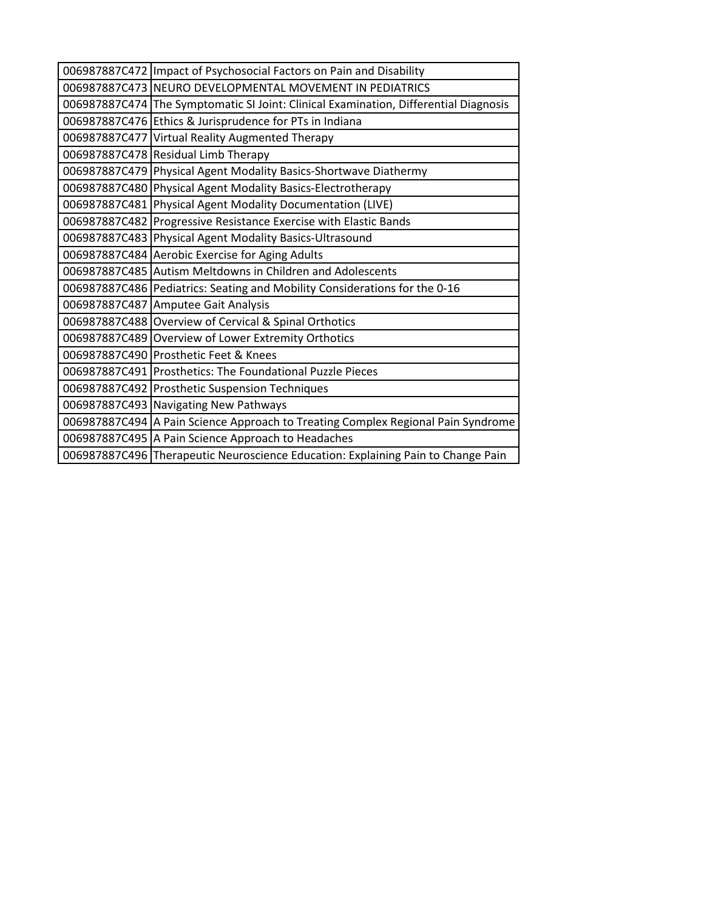| 006987887C472   Impact of Psychosocial Factors on Pain and Disability                |  |
|--------------------------------------------------------------------------------------|--|
| 006987887C473 NEURO DEVELOPMENTAL MOVEMENT IN PEDIATRICS                             |  |
| 006987887C474 The Symptomatic SI Joint: Clinical Examination, Differential Diagnosis |  |
| 006987887C476 Ethics & Jurisprudence for PTs in Indiana                              |  |
| 006987887C477 Virtual Reality Augmented Therapy                                      |  |
| 006987887C478 Residual Limb Therapy                                                  |  |
| 006987887C479 Physical Agent Modality Basics-Shortwave Diathermy                     |  |
| 006987887C480 Physical Agent Modality Basics-Electrotherapy                          |  |
| 006987887C481 Physical Agent Modality Documentation (LIVE)                           |  |
| 006987887C482 Progressive Resistance Exercise with Elastic Bands                     |  |
| 006987887C483 Physical Agent Modality Basics-Ultrasound                              |  |
| 006987887C484 Aerobic Exercise for Aging Adults                                      |  |
| 006987887C485 Autism Meltdowns in Children and Adolescents                           |  |
| 006987887C486 Pediatrics: Seating and Mobility Considerations for the 0-16           |  |
| 006987887C487 Amputee Gait Analysis                                                  |  |
| 006987887C488 Overview of Cervical & Spinal Orthotics                                |  |
| 006987887C489 Overview of Lower Extremity Orthotics                                  |  |
| 006987887C490 Prosthetic Feet & Knees                                                |  |
| 006987887C491 Prosthetics: The Foundational Puzzle Pieces                            |  |
| 006987887C492 Prosthetic Suspension Techniques                                       |  |
| 006987887C493 Navigating New Pathways                                                |  |
| 006987887C494 A Pain Science Approach to Treating Complex Regional Pain Syndrome     |  |
| 006987887C495 A Pain Science Approach to Headaches                                   |  |
| 006987887C496 Therapeutic Neuroscience Education: Explaining Pain to Change Pain     |  |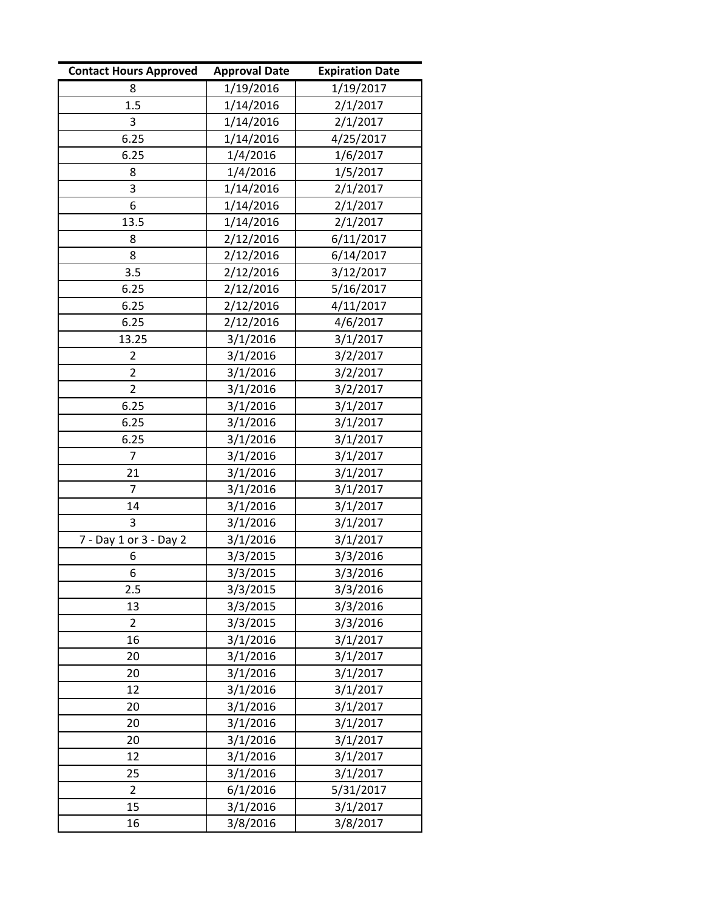| <b>Contact Hours Approved</b> | <b>Approval Date</b> | <b>Expiration Date</b> |
|-------------------------------|----------------------|------------------------|
| 8                             | 1/19/2016            | 1/19/2017              |
| 1.5                           | 1/14/2016            | 2/1/2017               |
| 3                             | 1/14/2016            | 2/1/2017               |
| 6.25                          | 1/14/2016            | 4/25/2017              |
| 6.25                          | 1/4/2016             | 1/6/2017               |
| 8                             | 1/4/2016             | 1/5/2017               |
| 3                             | 1/14/2016            | 2/1/2017               |
| 6                             | 1/14/2016            | 2/1/2017               |
| 13.5                          | 1/14/2016            | 2/1/2017               |
| 8                             | 2/12/2016            | 6/11/2017              |
| 8                             | 2/12/2016            | 6/14/2017              |
| 3.5                           | 2/12/2016            | 3/12/2017              |
| 6.25                          | 2/12/2016            | 5/16/2017              |
| 6.25                          | 2/12/2016            | 4/11/2017              |
| 6.25                          | 2/12/2016            | 4/6/2017               |
| 13.25                         | 3/1/2016             | 3/1/2017               |
| $\overline{2}$                | 3/1/2016             | 3/2/2017               |
| $\overline{2}$                | 3/1/2016             | 3/2/2017               |
| 2                             | 3/1/2016             | 3/2/2017               |
| 6.25                          | 3/1/2016             | 3/1/2017               |
| 6.25                          | 3/1/2016             | 3/1/2017               |
| 6.25                          | 3/1/2016             | 3/1/2017               |
| 7                             | 3/1/2016             | 3/1/2017               |
| 21                            | 3/1/2016             | 3/1/2017               |
| $\overline{7}$                | 3/1/2016             | 3/1/2017               |
| 14                            | 3/1/2016             | 3/1/2017               |
| 3                             | 3/1/2016             | 3/1/2017               |
| 7 - Day 1 or 3 - Day 2        | 3/1/2016             | 3/1/2017               |
| 6                             | 3/3/2015             | 3/3/2016               |
| 6                             | 3/3/2015             | 3/3/2016               |
| 2.5                           | 3/3/2015             | 3/3/2016               |
| 13                            | 3/3/2015             | 3/3/2016               |
| $\overline{2}$                | 3/3/2015             | 3/3/2016               |
| 16                            | 3/1/2016             | 3/1/2017               |
| 20                            | 3/1/2016             | 3/1/2017               |
| 20                            | 3/1/2016             | 3/1/2017               |
| 12                            | 3/1/2016             | 3/1/2017               |
| 20                            | 3/1/2016             | 3/1/2017               |
| 20                            | 3/1/2016             | 3/1/2017               |
| 20                            | 3/1/2016             | 3/1/2017               |
| 12                            | 3/1/2016             | 3/1/2017               |
| 25                            | 3/1/2016             | 3/1/2017               |
| $\overline{2}$                | 6/1/2016             | 5/31/2017              |
| 15                            | 3/1/2016             | 3/1/2017               |
| 16                            | 3/8/2016             | 3/8/2017               |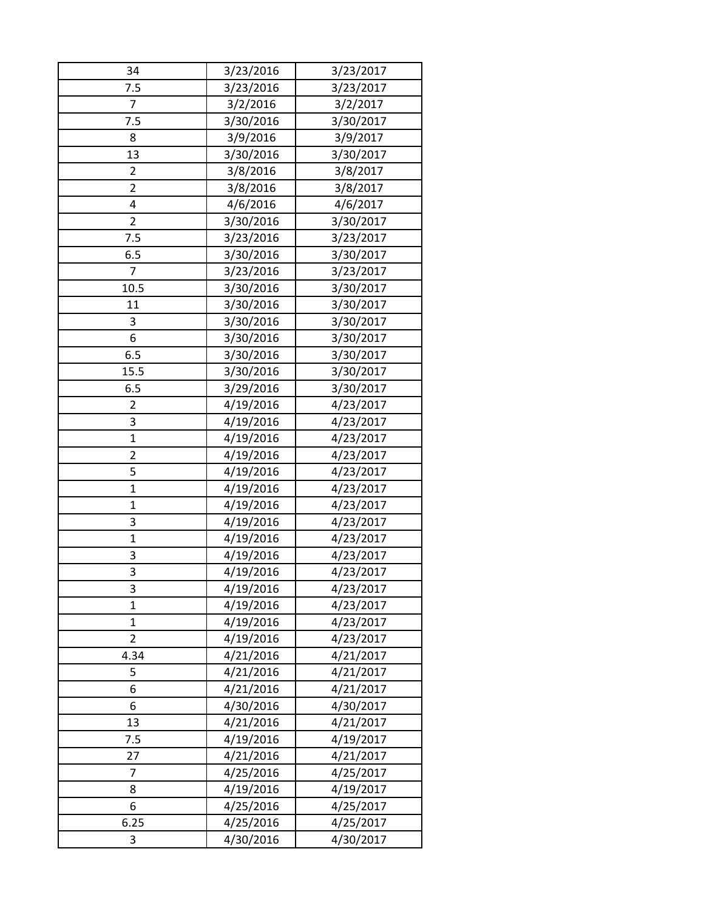| 34                      | 3/23/2016 | 3/23/2017 |
|-------------------------|-----------|-----------|
| 7.5                     | 3/23/2016 | 3/23/2017 |
| $\overline{7}$          | 3/2/2016  | 3/2/2017  |
| 7.5                     | 3/30/2016 | 3/30/2017 |
| 8                       | 3/9/2016  | 3/9/2017  |
| 13                      | 3/30/2016 | 3/30/2017 |
| 2                       | 3/8/2016  | 3/8/2017  |
| $\overline{2}$          | 3/8/2016  | 3/8/2017  |
| 4                       | 4/6/2016  | 4/6/2017  |
| 2                       | 3/30/2016 | 3/30/2017 |
| 7.5                     | 3/23/2016 | 3/23/2017 |
| 6.5                     | 3/30/2016 | 3/30/2017 |
| 7                       | 3/23/2016 | 3/23/2017 |
| 10.5                    | 3/30/2016 | 3/30/2017 |
| 11                      | 3/30/2016 | 3/30/2017 |
| 3                       | 3/30/2016 | 3/30/2017 |
| 6                       | 3/30/2016 | 3/30/2017 |
| 6.5                     | 3/30/2016 | 3/30/2017 |
| 15.5                    | 3/30/2016 | 3/30/2017 |
| 6.5                     | 3/29/2016 | 3/30/2017 |
| $\overline{2}$          | 4/19/2016 | 4/23/2017 |
| 3                       | 4/19/2016 | 4/23/2017 |
| $\mathbf{1}$            | 4/19/2016 | 4/23/2017 |
| $\overline{\mathbf{c}}$ | 4/19/2016 | 4/23/2017 |
| 5                       | 4/19/2016 | 4/23/2017 |
| $\mathbf{1}$            | 4/19/2016 | 4/23/2017 |
| $\mathbf 1$             | 4/19/2016 | 4/23/2017 |
| 3                       | 4/19/2016 | 4/23/2017 |
| $\mathbf{1}$            | 4/19/2016 | 4/23/2017 |
| 3                       | 4/19/2016 | 4/23/2017 |
| 3                       | 4/19/2016 | 4/23/2017 |
| 3                       | 4/19/2016 | 4/23/2017 |
| $\mathbf{1}$            | 4/19/2016 | 4/23/2017 |
| $\mathbf{1}$            | 4/19/2016 | 4/23/2017 |
| $\overline{2}$          | 4/19/2016 | 4/23/2017 |
| 4.34                    | 4/21/2016 | 4/21/2017 |
| 5                       | 4/21/2016 | 4/21/2017 |
| 6                       | 4/21/2016 | 4/21/2017 |
| 6                       | 4/30/2016 | 4/30/2017 |
| 13                      | 4/21/2016 | 4/21/2017 |
| 7.5                     | 4/19/2016 | 4/19/2017 |
| 27                      | 4/21/2016 | 4/21/2017 |
| 7                       | 4/25/2016 | 4/25/2017 |
| 8                       | 4/19/2016 | 4/19/2017 |
| 6                       | 4/25/2016 | 4/25/2017 |
| 6.25                    | 4/25/2016 | 4/25/2017 |
| 3                       | 4/30/2016 | 4/30/2017 |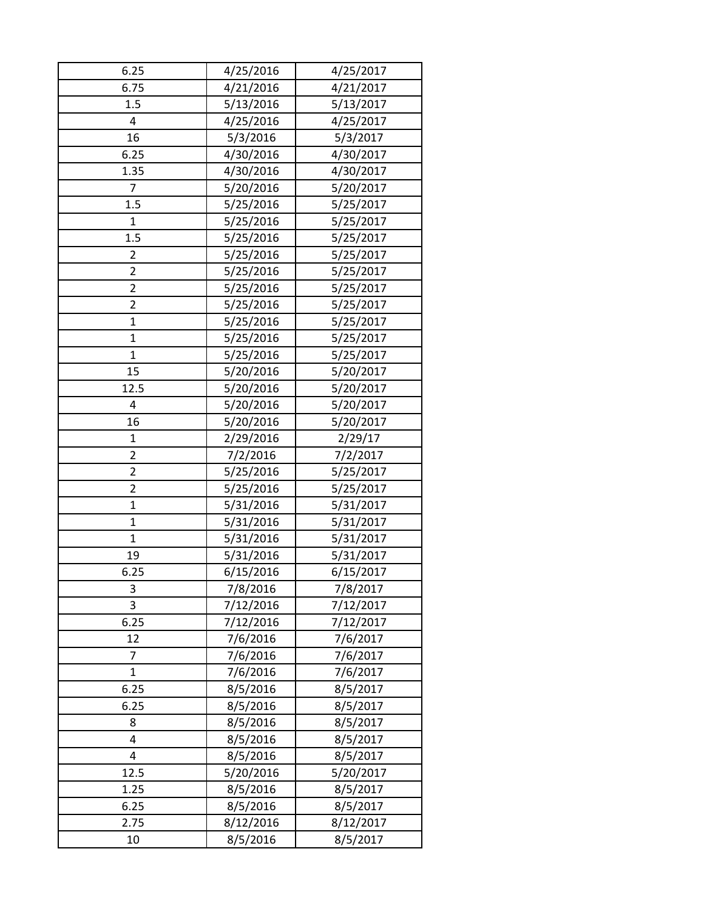| 6.25           | 4/25/2016 | 4/25/2017 |
|----------------|-----------|-----------|
| 6.75           | 4/21/2016 | 4/21/2017 |
| 1.5            | 5/13/2016 | 5/13/2017 |
| 4              | 4/25/2016 | 4/25/2017 |
| 16             | 5/3/2016  | 5/3/2017  |
| 6.25           | 4/30/2016 | 4/30/2017 |
| 1.35           | 4/30/2016 | 4/30/2017 |
| 7              | 5/20/2016 | 5/20/2017 |
| 1.5            | 5/25/2016 | 5/25/2017 |
| $\mathbf{1}$   | 5/25/2016 | 5/25/2017 |
| 1.5            | 5/25/2016 | 5/25/2017 |
| 2              | 5/25/2016 | 5/25/2017 |
| $\overline{2}$ | 5/25/2016 | 5/25/2017 |
| $\overline{2}$ | 5/25/2016 | 5/25/2017 |
| 2              | 5/25/2016 | 5/25/2017 |
| $\mathbf{1}$   | 5/25/2016 | 5/25/2017 |
| $\mathbf{1}$   | 5/25/2016 | 5/25/2017 |
| $\mathbf{1}$   | 5/25/2016 | 5/25/2017 |
| 15             | 5/20/2016 | 5/20/2017 |
| 12.5           | 5/20/2016 | 5/20/2017 |
| 4              | 5/20/2016 | 5/20/2017 |
| 16             | 5/20/2016 | 5/20/2017 |
| $\mathbf{1}$   | 2/29/2016 | 2/29/17   |
| 2              | 7/2/2016  | 7/2/2017  |
| $\overline{2}$ | 5/25/2016 | 5/25/2017 |
| $\overline{2}$ | 5/25/2016 | 5/25/2017 |
| 1              | 5/31/2016 | 5/31/2017 |
| $\mathbf{1}$   | 5/31/2016 | 5/31/2017 |
| $\mathbf{1}$   | 5/31/2016 | 5/31/2017 |
| 19             | 5/31/2016 | 5/31/2017 |
| 6.25           | 6/15/2016 | 6/15/2017 |
| 3              | 7/8/2016  | 7/8/2017  |
| 3              | 7/12/2016 | 7/12/2017 |
| 6.25           | 7/12/2016 | 7/12/2017 |
| 12             | 7/6/2016  | 7/6/2017  |
| 7              | 7/6/2016  | 7/6/2017  |
| $\mathbf{1}$   | 7/6/2016  | 7/6/2017  |
| 6.25           | 8/5/2016  | 8/5/2017  |
| 6.25           | 8/5/2016  | 8/5/2017  |
| 8              | 8/5/2016  | 8/5/2017  |
| 4              | 8/5/2016  | 8/5/2017  |
| 4              | 8/5/2016  | 8/5/2017  |
| 12.5           | 5/20/2016 | 5/20/2017 |
| 1.25           | 8/5/2016  | 8/5/2017  |
| 6.25           | 8/5/2016  | 8/5/2017  |
| 2.75           | 8/12/2016 | 8/12/2017 |
| 10             | 8/5/2016  | 8/5/2017  |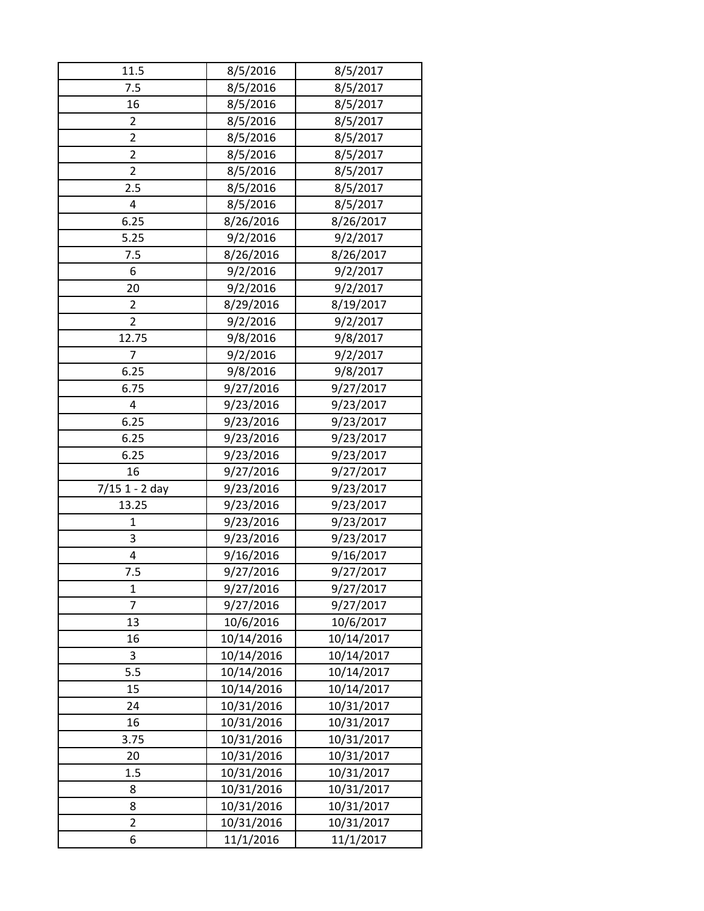| 11.5             | 8/5/2016   | 8/5/2017   |
|------------------|------------|------------|
| 7.5              | 8/5/2016   | 8/5/2017   |
| 16               | 8/5/2016   | 8/5/2017   |
| $\overline{2}$   | 8/5/2016   | 8/5/2017   |
| $\overline{2}$   | 8/5/2016   | 8/5/2017   |
| $\overline{2}$   | 8/5/2016   | 8/5/2017   |
| $\overline{2}$   | 8/5/2016   | 8/5/2017   |
| 2.5              | 8/5/2016   | 8/5/2017   |
| 4                | 8/5/2016   | 8/5/2017   |
| 6.25             | 8/26/2016  | 8/26/2017  |
| 5.25             | 9/2/2016   | 9/2/2017   |
| 7.5              | 8/26/2016  | 8/26/2017  |
| 6                | 9/2/2016   | 9/2/2017   |
| 20               | 9/2/2016   | 9/2/2017   |
| 2                | 8/29/2016  | 8/19/2017  |
| $\overline{2}$   | 9/2/2016   | 9/2/2017   |
| 12.75            | 9/8/2016   | 9/8/2017   |
| 7                | 9/2/2016   | 9/2/2017   |
| 6.25             | 9/8/2016   | 9/8/2017   |
| 6.75             | 9/27/2016  | 9/27/2017  |
| 4                | 9/23/2016  | 9/23/2017  |
| 6.25             | 9/23/2016  | 9/23/2017  |
| 6.25             | 9/23/2016  | 9/23/2017  |
| 6.25             | 9/23/2016  | 9/23/2017  |
| 16               | 9/27/2016  | 9/27/2017  |
| $7/15$ 1 - 2 day | 9/23/2016  | 9/23/2017  |
| 13.25            | 9/23/2016  | 9/23/2017  |
| $\mathbf{1}$     | 9/23/2016  | 9/23/2017  |
| 3                | 9/23/2016  | 9/23/2017  |
| 4                | 9/16/2016  | 9/16/2017  |
| 7.5              | 9/27/2016  | 9/27/2017  |
| 1                | 9/27/2016  | 9/27/2017  |
| $\overline{7}$   | 9/27/2016  | 9/27/2017  |
| 13               | 10/6/2016  | 10/6/2017  |
| 16               | 10/14/2016 | 10/14/2017 |
| 3                | 10/14/2016 | 10/14/2017 |
| 5.5              | 10/14/2016 | 10/14/2017 |
| 15               | 10/14/2016 | 10/14/2017 |
| 24               | 10/31/2016 | 10/31/2017 |
| 16               | 10/31/2016 | 10/31/2017 |
| 3.75             | 10/31/2016 | 10/31/2017 |
| 20               | 10/31/2016 | 10/31/2017 |
| 1.5              | 10/31/2016 | 10/31/2017 |
| 8                | 10/31/2016 | 10/31/2017 |
| 8                | 10/31/2016 | 10/31/2017 |
| 2                | 10/31/2016 | 10/31/2017 |
| 6                | 11/1/2016  | 11/1/2017  |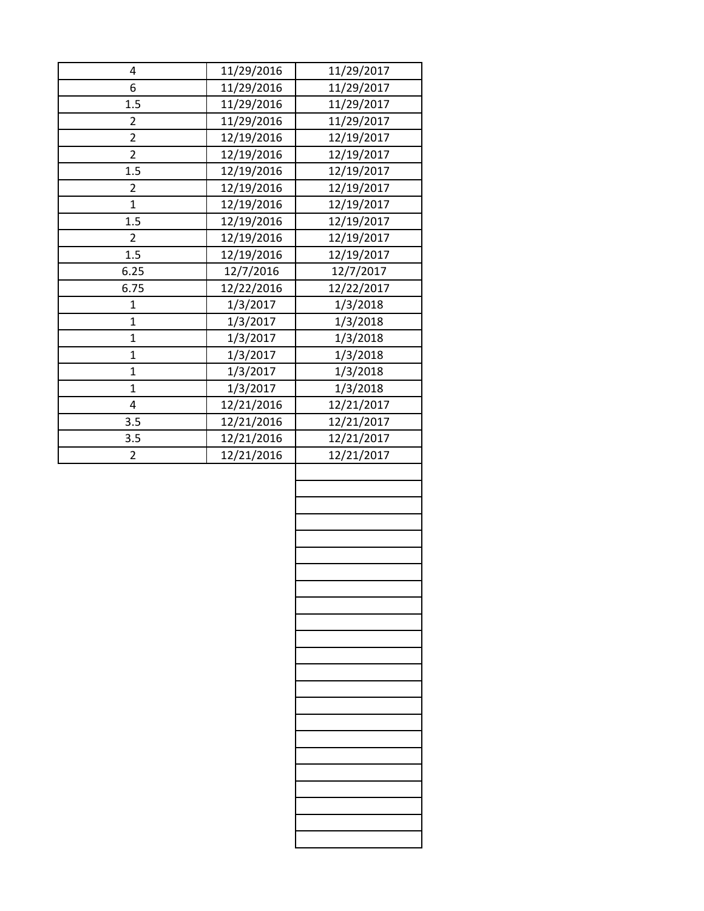| 4                       | 11/29/2016 | 11/29/2017 |
|-------------------------|------------|------------|
| 6                       | 11/29/2016 | 11/29/2017 |
| 1.5                     | 11/29/2016 | 11/29/2017 |
| 2                       | 11/29/2016 | 11/29/2017 |
| $\overline{2}$          | 12/19/2016 | 12/19/2017 |
| 2                       | 12/19/2016 | 12/19/2017 |
| 1.5                     | 12/19/2016 | 12/19/2017 |
| $\overline{2}$          | 12/19/2016 | 12/19/2017 |
| $\mathbf{1}$            | 12/19/2016 | 12/19/2017 |
| 1.5                     | 12/19/2016 | 12/19/2017 |
| $\overline{2}$          | 12/19/2016 | 12/19/2017 |
| 1.5                     | 12/19/2016 | 12/19/2017 |
| 6.25                    | 12/7/2016  | 12/7/2017  |
| 6.75                    | 12/22/2016 | 12/22/2017 |
| $\mathbf{1}$            | 1/3/2017   | 1/3/2018   |
| $\mathbf{1}$            | 1/3/2017   | 1/3/2018   |
| $\mathbf{1}$            | 1/3/2017   | 1/3/2018   |
| $\mathbf 1$             | 1/3/2017   | 1/3/2018   |
| $\mathbf{1}$            | 1/3/2017   | 1/3/2018   |
| $\mathbf{1}$            | 1/3/2017   | 1/3/2018   |
| $\overline{\mathbf{4}}$ | 12/21/2016 | 12/21/2017 |
| 3.5                     | 12/21/2016 | 12/21/2017 |
| 3.5                     | 12/21/2016 | 12/21/2017 |
| 2                       | 12/21/2016 | 12/21/2017 |
|                         |            |            |
|                         |            |            |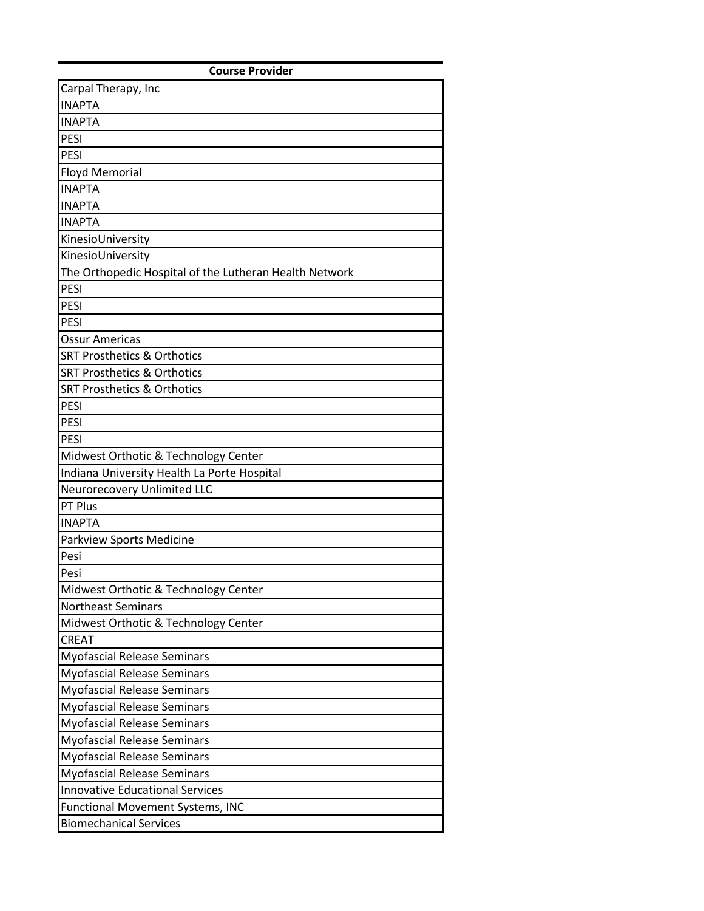| <b>Course Provider</b>                                 |
|--------------------------------------------------------|
| Carpal Therapy, Inc                                    |
| <b>INAPTA</b>                                          |
| <b>INAPTA</b>                                          |
| PESI                                                   |
| PESI                                                   |
| <b>Floyd Memorial</b>                                  |
| <b>INAPTA</b>                                          |
| <b>INAPTA</b>                                          |
| <b>INAPTA</b>                                          |
| KinesioUniversity                                      |
| KinesioUniversity                                      |
| The Orthopedic Hospital of the Lutheran Health Network |
| <b>PESI</b>                                            |
| <b>PESI</b>                                            |
| PESI                                                   |
| <b>Ossur Americas</b>                                  |
| <b>SRT Prosthetics &amp; Orthotics</b>                 |
| <b>SRT Prosthetics &amp; Orthotics</b>                 |
| <b>SRT Prosthetics &amp; Orthotics</b>                 |
| <b>PESI</b>                                            |
| PESI                                                   |
| <b>PESI</b>                                            |
| Midwest Orthotic & Technology Center                   |
| Indiana University Health La Porte Hospital            |
| Neurorecovery Unlimited LLC                            |
| PT Plus                                                |
| <b>INAPTA</b>                                          |
| Parkview Sports Medicine                               |
| Pesi                                                   |
| Pesi                                                   |
| Midwest Orthotic & Technology Center                   |
| <b>Northeast Seminars</b>                              |
| Midwest Orthotic & Technology Center                   |
| <b>CREAT</b>                                           |
| <b>Myofascial Release Seminars</b>                     |
| <b>Myofascial Release Seminars</b>                     |
| <b>Myofascial Release Seminars</b>                     |
| <b>Myofascial Release Seminars</b>                     |
| <b>Myofascial Release Seminars</b>                     |
| <b>Myofascial Release Seminars</b>                     |
| <b>Myofascial Release Seminars</b>                     |
| <b>Myofascial Release Seminars</b>                     |
| <b>Innovative Educational Services</b>                 |
| Functional Movement Systems, INC                       |
| <b>Biomechanical Services</b>                          |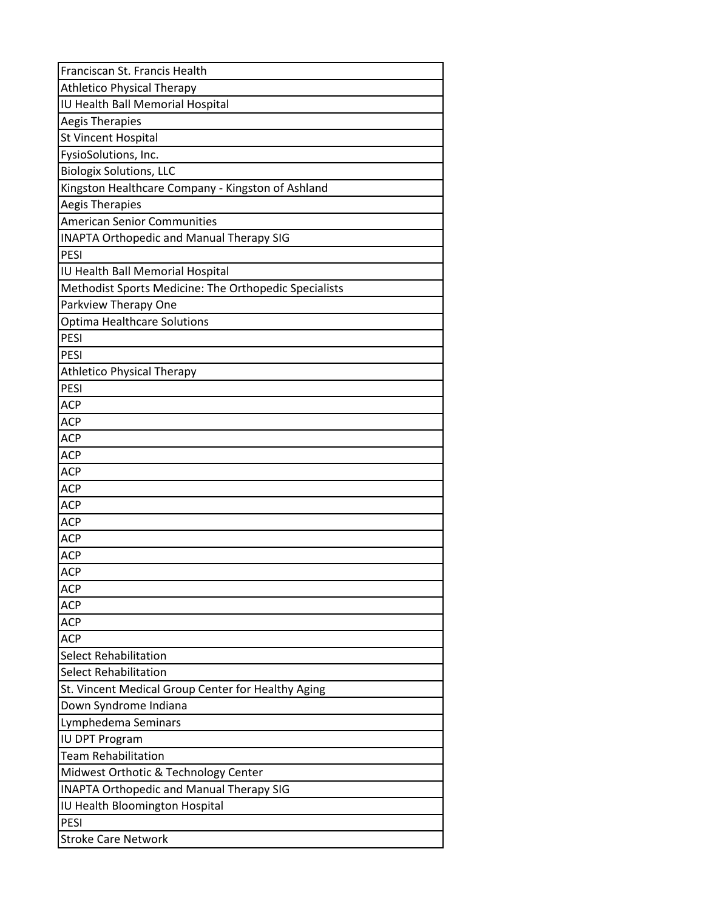| Franciscan St. Francis Health                         |
|-------------------------------------------------------|
| <b>Athletico Physical Therapy</b>                     |
| IU Health Ball Memorial Hospital                      |
| <b>Aegis Therapies</b>                                |
| St Vincent Hospital                                   |
| FysioSolutions, Inc.                                  |
| <b>Biologix Solutions, LLC</b>                        |
| Kingston Healthcare Company - Kingston of Ashland     |
| Aegis Therapies                                       |
| <b>American Senior Communities</b>                    |
| <b>INAPTA Orthopedic and Manual Therapy SIG</b>       |
| PESI                                                  |
| IU Health Ball Memorial Hospital                      |
| Methodist Sports Medicine: The Orthopedic Specialists |
| Parkview Therapy One                                  |
| <b>Optima Healthcare Solutions</b>                    |
| PESI                                                  |
| <b>PESI</b>                                           |
| <b>Athletico Physical Therapy</b>                     |
| PESI                                                  |
| <b>ACP</b>                                            |
| <b>ACP</b>                                            |
| <b>ACP</b>                                            |
| <b>ACP</b>                                            |
| <b>ACP</b>                                            |
| <b>ACP</b>                                            |
| <b>ACP</b>                                            |
| <b>ACP</b>                                            |
| <b>ACP</b>                                            |
| <b>ACP</b>                                            |
| <b>ACP</b>                                            |
| <b>ACP</b>                                            |
| <b>ACP</b>                                            |
| <b>ACP</b>                                            |
| <b>ACP</b>                                            |
| <b>Select Rehabilitation</b>                          |
| <b>Select Rehabilitation</b>                          |
| St. Vincent Medical Group Center for Healthy Aging    |
| Down Syndrome Indiana                                 |
| Lymphedema Seminars                                   |
| <b>IU DPT Program</b>                                 |
| <b>Team Rehabilitation</b>                            |
| Midwest Orthotic & Technology Center                  |
| <b>INAPTA Orthopedic and Manual Therapy SIG</b>       |
| IU Health Bloomington Hospital                        |
| PESI                                                  |
| <b>Stroke Care Network</b>                            |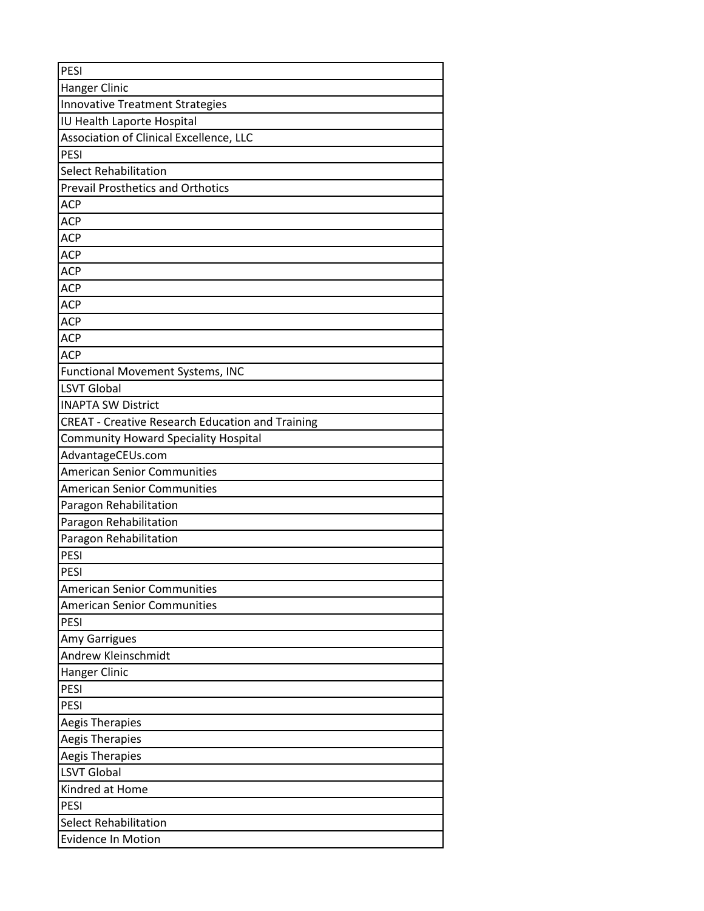| PESI                                                    |
|---------------------------------------------------------|
| Hanger Clinic                                           |
| <b>Innovative Treatment Strategies</b>                  |
| IU Health Laporte Hospital                              |
| Association of Clinical Excellence, LLC                 |
| PESI                                                    |
| <b>Select Rehabilitation</b>                            |
| <b>Prevail Prosthetics and Orthotics</b>                |
| <b>ACP</b>                                              |
| <b>ACP</b>                                              |
| <b>ACP</b>                                              |
| <b>ACP</b>                                              |
| <b>ACP</b>                                              |
| <b>ACP</b>                                              |
| <b>ACP</b>                                              |
| <b>ACP</b>                                              |
| <b>ACP</b>                                              |
| <b>ACP</b>                                              |
| Functional Movement Systems, INC                        |
| <b>LSVT Global</b>                                      |
| <b>INAPTA SW District</b>                               |
| <b>CREAT - Creative Research Education and Training</b> |
| <b>Community Howard Speciality Hospital</b>             |
| AdvantageCEUs.com                                       |
| <b>American Senior Communities</b>                      |
| <b>American Senior Communities</b>                      |
| Paragon Rehabilitation                                  |
| Paragon Rehabilitation                                  |
| Paragon Rehabilitation                                  |
| PESI                                                    |
| PESI                                                    |
| <b>American Senior Communities</b>                      |
| <b>American Senior Communities</b>                      |
| <b>PESI</b>                                             |
| Amy Garrigues                                           |
| Andrew Kleinschmidt                                     |
| <b>Hanger Clinic</b>                                    |
| PESI                                                    |
| PESI                                                    |
| <b>Aegis Therapies</b>                                  |
| Aegis Therapies                                         |
| <b>Aegis Therapies</b>                                  |
| <b>LSVT Global</b>                                      |
| Kindred at Home                                         |
| PESI                                                    |
| <b>Select Rehabilitation</b>                            |
| <b>Evidence In Motion</b>                               |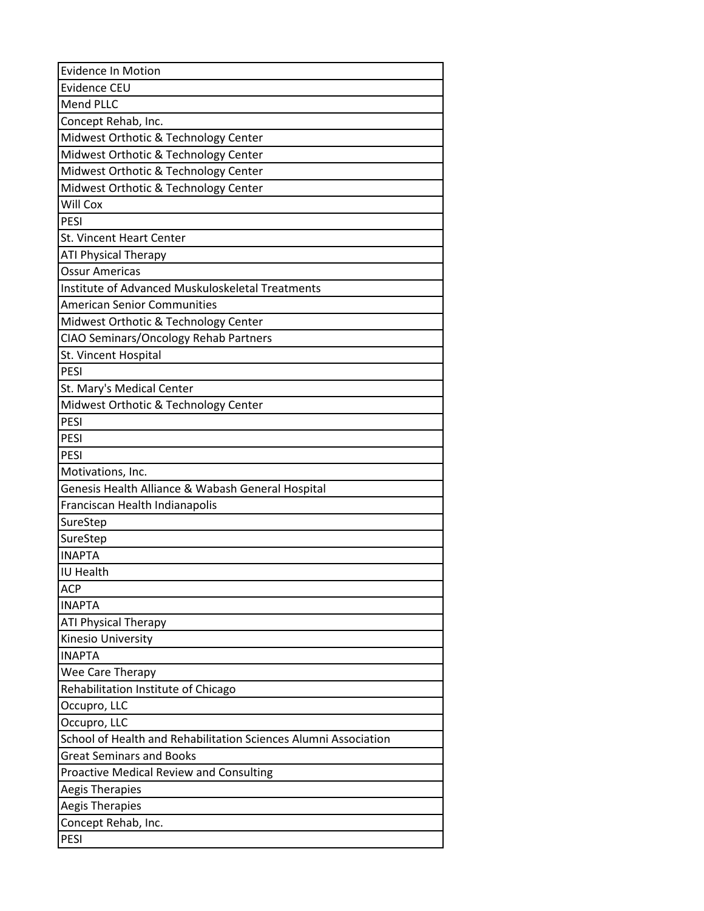| <b>Evidence In Motion</b>                                       |
|-----------------------------------------------------------------|
| <b>Evidence CEU</b>                                             |
| Mend PLLC                                                       |
| Concept Rehab, Inc.                                             |
| Midwest Orthotic & Technology Center                            |
| Midwest Orthotic & Technology Center                            |
| Midwest Orthotic & Technology Center                            |
| Midwest Orthotic & Technology Center                            |
| Will Cox                                                        |
| PESI                                                            |
| St. Vincent Heart Center                                        |
| <b>ATI Physical Therapy</b>                                     |
| <b>Ossur Americas</b>                                           |
| Institute of Advanced Muskuloskeletal Treatments                |
| <b>American Senior Communities</b>                              |
| Midwest Orthotic & Technology Center                            |
| CIAO Seminars/Oncology Rehab Partners                           |
| St. Vincent Hospital                                            |
| <b>PESI</b>                                                     |
| St. Mary's Medical Center                                       |
| Midwest Orthotic & Technology Center                            |
| PESI                                                            |
| <b>PESI</b>                                                     |
| <b>PESI</b>                                                     |
| Motivations, Inc.                                               |
| Genesis Health Alliance & Wabash General Hospital               |
| Franciscan Health Indianapolis                                  |
| SureStep                                                        |
| SureStep                                                        |
| <b>INAPTA</b>                                                   |
| <b>IU Health</b>                                                |
| <b>ACP</b>                                                      |
| <b>INAPTA</b>                                                   |
| <b>ATI Physical Therapy</b>                                     |
| Kinesio University                                              |
| <b>INAPTA</b>                                                   |
| Wee Care Therapy                                                |
| Rehabilitation Institute of Chicago                             |
| Occupro, LLC                                                    |
| Occupro, LLC                                                    |
| School of Health and Rehabilitation Sciences Alumni Association |
| <b>Great Seminars and Books</b>                                 |
| <b>Proactive Medical Review and Consulting</b>                  |
| <b>Aegis Therapies</b>                                          |
| <b>Aegis Therapies</b>                                          |
| Concept Rehab, Inc.                                             |
| PESI                                                            |